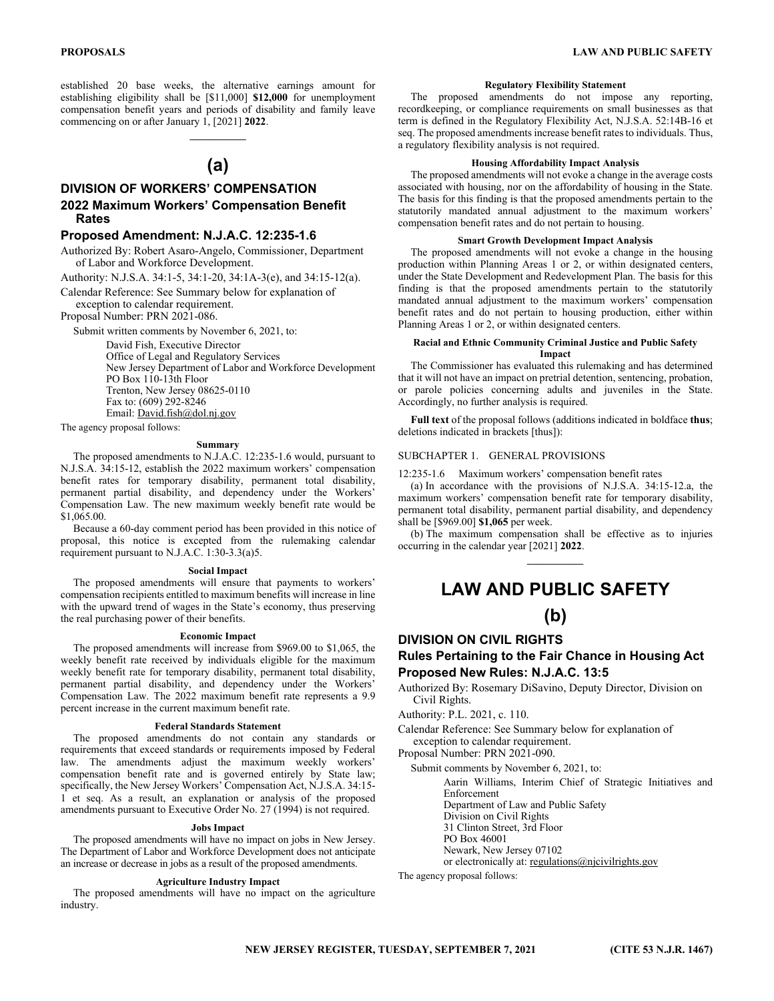established 20 base weeks, the alternative earnings amount for establishing eligibility shall be [\$11,000] **\$12,000** for unemployment compensation benefit years and periods of disability and family leave commencing on or after January 1, [2021] **2022**.

# **(a)**

 $\mathcal{L}_\text{max}$ 

# **DIVISION OF WORKERS' COMPENSATION 2022 Maximum Workers' Compensation Benefit Rates**

# **Proposed Amendment: N.J.A.C. 12:235-1.6**

Authorized By: Robert Asaro-Angelo, Commissioner, Department of Labor and Workforce Development.

Authority: N.J.S.A. 34:1-5, 34:1-20, 34:1A-3(e), and 34:15-12(a).

Calendar Reference: See Summary below for explanation of exception to calendar requirement.

Proposal Number: PRN 2021-086.

Submit written comments by November 6, 2021, to:

David Fish, Executive Director Office of Legal and Regulatory Services New Jersey Department of Labor and Workforce Development PO Box 110-13th Floor Trenton, New Jersey 08625-0110 Fax to: (609) 292-8246 Email: David.fish@dol.nj.gov

The agency proposal follows:

# **Summary**

The proposed amendments to N.J.A.C. 12:235-1.6 would, pursuant to N.J.S.A. 34:15-12, establish the 2022 maximum workers' compensation benefit rates for temporary disability, permanent total disability, permanent partial disability, and dependency under the Workers' Compensation Law. The new maximum weekly benefit rate would be \$1,065.00.

Because a 60-day comment period has been provided in this notice of proposal, this notice is excepted from the rulemaking calendar requirement pursuant to N.J.A.C. 1:30-3.3(a)5.

#### **Social Impact**

The proposed amendments will ensure that payments to workers' compensation recipients entitled to maximum benefits will increase in line with the upward trend of wages in the State's economy, thus preserving the real purchasing power of their benefits.

#### **Economic Impact**

The proposed amendments will increase from \$969.00 to \$1,065, the weekly benefit rate received by individuals eligible for the maximum weekly benefit rate for temporary disability, permanent total disability, permanent partial disability, and dependency under the Workers' Compensation Law. The 2022 maximum benefit rate represents a 9.9 percent increase in the current maximum benefit rate.

#### **Federal Standards Statement**

The proposed amendments do not contain any standards or requirements that exceed standards or requirements imposed by Federal law. The amendments adjust the maximum weekly workers' compensation benefit rate and is governed entirely by State law; specifically, the New Jersey Workers' Compensation Act, N.J.S.A. 34:15- 1 et seq. As a result, an explanation or analysis of the proposed amendments pursuant to Executive Order No. 27 (1994) is not required.

#### **Jobs Impact**

The proposed amendments will have no impact on jobs in New Jersey. The Department of Labor and Workforce Development does not anticipate an increase or decrease in jobs as a result of the proposed amendments.

# **Agriculture Industry Impact**

The proposed amendments will have no impact on the agriculture industry.

## **Regulatory Flexibility Statement**

The proposed amendments do not impose any reporting, recordkeeping, or compliance requirements on small businesses as that term is defined in the Regulatory Flexibility Act, N.J.S.A. 52:14B-16 et seq. The proposed amendments increase benefit rates to individuals. Thus, a regulatory flexibility analysis is not required.

# **Housing Affordability Impact Analysis**

The proposed amendments will not evoke a change in the average costs associated with housing, nor on the affordability of housing in the State. The basis for this finding is that the proposed amendments pertain to the statutorily mandated annual adjustment to the maximum workers' compensation benefit rates and do not pertain to housing.

# **Smart Growth Development Impact Analysis**

The proposed amendments will not evoke a change in the housing production within Planning Areas 1 or 2, or within designated centers, under the State Development and Redevelopment Plan. The basis for this finding is that the proposed amendments pertain to the statutorily mandated annual adjustment to the maximum workers' compensation benefit rates and do not pertain to housing production, either within Planning Areas 1 or 2, or within designated centers.

#### **Racial and Ethnic Community Criminal Justice and Public Safety Impact**

The Commissioner has evaluated this rulemaking and has determined that it will not have an impact on pretrial detention, sentencing, probation, or parole policies concerning adults and juveniles in the State. Accordingly, no further analysis is required.

**Full text** of the proposal follows (additions indicated in boldface **thus**; deletions indicated in brackets [thus]):

# SUBCHAPTER 1. GENERAL PROVISIONS

12:235-1.6 Maximum workers' compensation benefit rates

(a) In accordance with the provisions of N.J.S.A. 34:15-12.a, the maximum workers' compensation benefit rate for temporary disability, permanent total disability, permanent partial disability, and dependency shall be [\$969.00] **\$1,065** per week.

(b) The maximum compensation shall be effective as to injuries occurring in the calendar year [2021] **2022**.  $\mathcal{L}=\mathcal{L}$ 

# **LAW AND PUBLIC SAFETY**

# **(b)**

# **DIVISION ON CIVIL RIGHTS**

# **Rules Pertaining to the Fair Chance in Housing Act Proposed New Rules: N.J.A.C. 13:5**

Authorized By: Rosemary DiSavino, Deputy Director, Division on Civil Rights.

Authority: P.L. 2021, c. 110.

Calendar Reference: See Summary below for explanation of exception to calendar requirement.

Proposal Number: PRN 2021-090.

Submit comments by November 6, 2021, to:

Aarin Williams, Interim Chief of Strategic Initiatives and Enforcement

Department of Law and Public Safety

Division on Civil Rights

31 Clinton Street, 3rd Floor

PO Box 46001

Newark, New Jersey 07102

or electronically at: regulations@njcivilrights.gov

The agency proposal follows: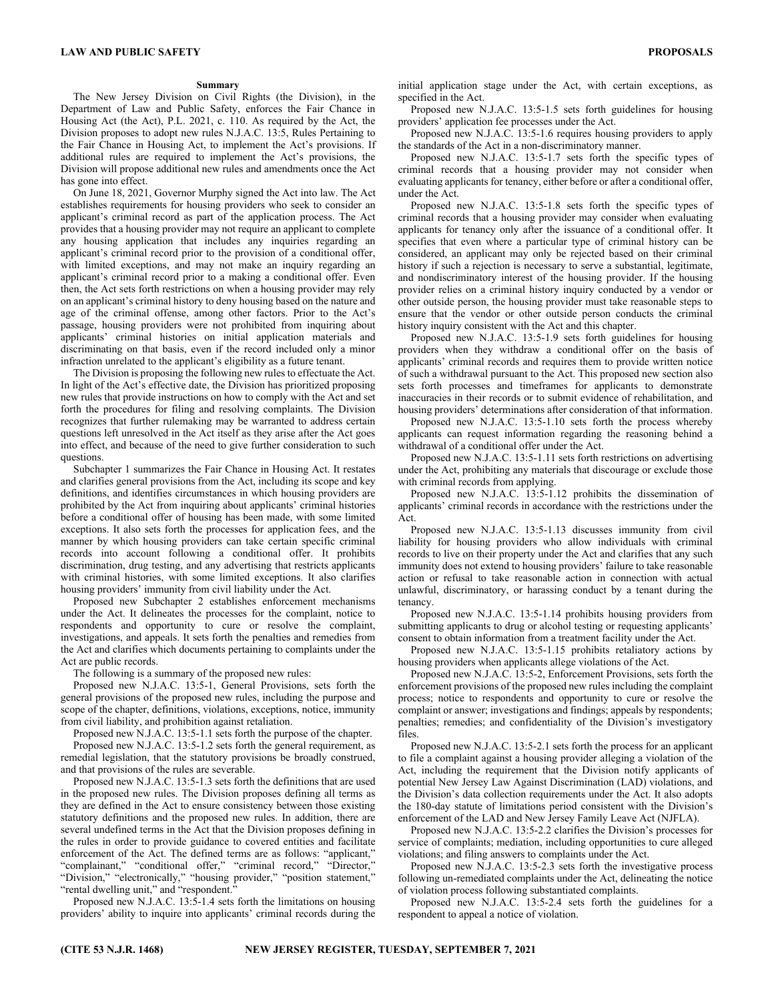#### **Summary**

The New Jersey Division on Civil Rights (the Division), in the Department of Law and Public Safety, enforces the Fair Chance in Housing Act (the Act), P.L. 2021, c. 110. As required by the Act, the Division proposes to adopt new rules N.J.A.C. 13:5, Rules Pertaining to the Fair Chance in Housing Act, to implement the Act's provisions. If additional rules are required to implement the Act's provisions, the Division will propose additional new rules and amendments once the Act has gone into effect.

On June 18, 2021, Governor Murphy signed the Act into law. The Act establishes requirements for housing providers who seek to consider an applicant's criminal record as part of the application process. The Act provides that a housing provider may not require an applicant to complete any housing application that includes any inquiries regarding an applicant's criminal record prior to the provision of a conditional offer, with limited exceptions, and may not make an inquiry regarding an applicant's criminal record prior to a making a conditional offer. Even then, the Act sets forth restrictions on when a housing provider may rely on an applicant's criminal history to deny housing based on the nature and age of the criminal offense, among other factors. Prior to the Act's passage, housing providers were not prohibited from inquiring about applicants' criminal histories on initial application materials and discriminating on that basis, even if the record included only a minor infraction unrelated to the applicant's eligibility as a future tenant.

The Division is proposing the following new rules to effectuate the Act. In light of the Act's effective date, the Division has prioritized proposing new rules that provide instructions on how to comply with the Act and set forth the procedures for filing and resolving complaints. The Division recognizes that further rulemaking may be warranted to address certain questions left unresolved in the Act itself as they arise after the Act goes into effect, and because of the need to give further consideration to such questions.

Subchapter 1 summarizes the Fair Chance in Housing Act. It restates and clarifies general provisions from the Act, including its scope and key definitions, and identifies circumstances in which housing providers are prohibited by the Act from inquiring about applicants' criminal histories before a conditional offer of housing has been made, with some limited exceptions. It also sets forth the processes for application fees, and the manner by which housing providers can take certain specific criminal records into account following a conditional offer. It prohibits discrimination, drug testing, and any advertising that restricts applicants with criminal histories, with some limited exceptions. It also clarifies housing providers' immunity from civil liability under the Act.

Proposed new Subchapter 2 establishes enforcement mechanisms under the Act. It delineates the processes for the complaint, notice to respondents and opportunity to cure or resolve the complaint, investigations, and appeals. It sets forth the penalties and remedies from the Act and clarifies which documents pertaining to complaints under the Act are public records.

The following is a summary of the proposed new rules:

Proposed new N.J.A.C. 13:5-1, General Provisions, sets forth the general provisions of the proposed new rules, including the purpose and scope of the chapter, definitions, violations, exceptions, notice, immunity from civil liability, and prohibition against retaliation.

Proposed new N.J.A.C. 13:5-1.1 sets forth the purpose of the chapter.

Proposed new N.J.A.C. 13:5-1.2 sets forth the general requirement, as remedial legislation, that the statutory provisions be broadly construed, and that provisions of the rules are severable.

Proposed new N.J.A.C. 13:5-1.3 sets forth the definitions that are used in the proposed new rules. The Division proposes defining all terms as they are defined in the Act to ensure consistency between those existing statutory definitions and the proposed new rules. In addition, there are several undefined terms in the Act that the Division proposes defining in the rules in order to provide guidance to covered entities and facilitate enforcement of the Act. The defined terms are as follows: "applicant," "complainant," "conditional offer," "criminal record," "Director," "Division," "electronically," "housing provider," "position statement," "rental dwelling unit," and "respondent."

Proposed new N.J.A.C. 13:5-1.4 sets forth the limitations on housing providers' ability to inquire into applicants' criminal records during the

Proposed new N.J.A.C. 13:5-1.5 sets forth guidelines for housing providers' application fee processes under the Act.

Proposed new N.J.A.C. 13:5-1.6 requires housing providers to apply the standards of the Act in a non-discriminatory manner.

Proposed new N.J.A.C. 13:5-1.7 sets forth the specific types of criminal records that a housing provider may not consider when evaluating applicants for tenancy, either before or after a conditional offer, under the Act.

Proposed new N.J.A.C. 13:5-1.8 sets forth the specific types of criminal records that a housing provider may consider when evaluating applicants for tenancy only after the issuance of a conditional offer. It specifies that even where a particular type of criminal history can be considered, an applicant may only be rejected based on their criminal history if such a rejection is necessary to serve a substantial, legitimate, and nondiscriminatory interest of the housing provider. If the housing provider relies on a criminal history inquiry conducted by a vendor or other outside person, the housing provider must take reasonable steps to ensure that the vendor or other outside person conducts the criminal history inquiry consistent with the Act and this chapter.

Proposed new N.J.A.C. 13:5-1.9 sets forth guidelines for housing providers when they withdraw a conditional offer on the basis of applicants' criminal records and requires them to provide written notice of such a withdrawal pursuant to the Act. This proposed new section also sets forth processes and timeframes for applicants to demonstrate inaccuracies in their records or to submit evidence of rehabilitation, and housing providers' determinations after consideration of that information.

Proposed new N.J.A.C. 13:5-1.10 sets forth the process whereby applicants can request information regarding the reasoning behind a withdrawal of a conditional offer under the Act.

Proposed new N.J.A.C. 13:5-1.11 sets forth restrictions on advertising under the Act, prohibiting any materials that discourage or exclude those with criminal records from applying.

Proposed new N.J.A.C. 13:5-1.12 prohibits the dissemination of applicants' criminal records in accordance with the restrictions under the Act.

Proposed new N.J.A.C. 13:5-1.13 discusses immunity from civil liability for housing providers who allow individuals with criminal records to live on their property under the Act and clarifies that any such immunity does not extend to housing providers' failure to take reasonable action or refusal to take reasonable action in connection with actual unlawful, discriminatory, or harassing conduct by a tenant during the tenancy.

Proposed new N.J.A.C. 13:5-1.14 prohibits housing providers from submitting applicants to drug or alcohol testing or requesting applicants' consent to obtain information from a treatment facility under the Act.

Proposed new N.J.A.C. 13:5-1.15 prohibits retaliatory actions by housing providers when applicants allege violations of the Act.

Proposed new N.J.A.C. 13:5-2, Enforcement Provisions, sets forth the enforcement provisions of the proposed new rules including the complaint process; notice to respondents and opportunity to cure or resolve the complaint or answer; investigations and findings; appeals by respondents; penalties; remedies; and confidentiality of the Division's investigatory files.

Proposed new N.J.A.C. 13:5-2.1 sets forth the process for an applicant to file a complaint against a housing provider alleging a violation of the Act, including the requirement that the Division notify applicants of potential New Jersey Law Against Discrimination (LAD) violations, and the Division's data collection requirements under the Act. It also adopts the 180-day statute of limitations period consistent with the Division's enforcement of the LAD and New Jersey Family Leave Act (NJFLA).

Proposed new N.J.A.C. 13:5-2.2 clarifies the Division's processes for service of complaints; mediation, including opportunities to cure alleged violations; and filing answers to complaints under the Act.

Proposed new N.J.A.C. 13:5-2.3 sets forth the investigative process following un-remediated complaints under the Act, delineating the notice of violation process following substantiated complaints.

Proposed new N.J.A.C. 13:5-2.4 sets forth the guidelines for a respondent to appeal a notice of violation.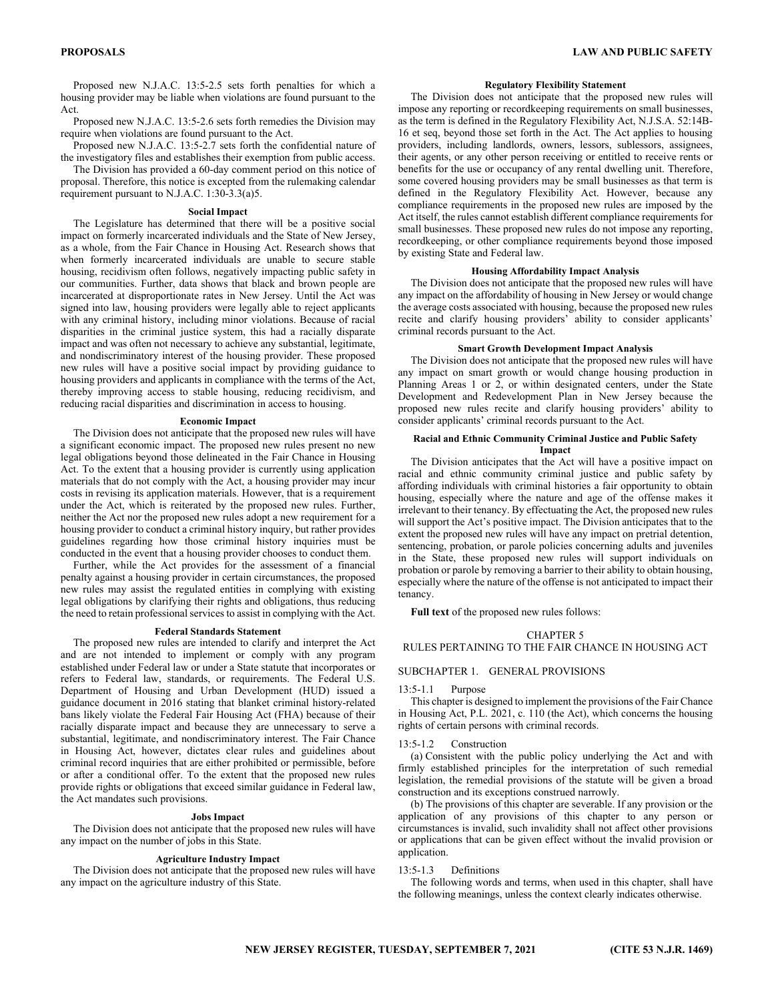Proposed new N.J.A.C. 13:5-2.5 sets forth penalties for which a housing provider may be liable when violations are found pursuant to the Act.

Proposed new N.J.A.C. 13:5-2.6 sets forth remedies the Division may require when violations are found pursuant to the Act.

Proposed new N.J.A.C. 13:5-2.7 sets forth the confidential nature of the investigatory files and establishes their exemption from public access.

The Division has provided a 60-day comment period on this notice of proposal. Therefore, this notice is excepted from the rulemaking calendar requirement pursuant to N.J.A.C. 1:30-3.3(a)5.

#### **Social Impact**

The Legislature has determined that there will be a positive social impact on formerly incarcerated individuals and the State of New Jersey, as a whole, from the Fair Chance in Housing Act. Research shows that when formerly incarcerated individuals are unable to secure stable housing, recidivism often follows, negatively impacting public safety in our communities. Further, data shows that black and brown people are incarcerated at disproportionate rates in New Jersey. Until the Act was signed into law, housing providers were legally able to reject applicants with any criminal history, including minor violations. Because of racial disparities in the criminal justice system, this had a racially disparate impact and was often not necessary to achieve any substantial, legitimate, and nondiscriminatory interest of the housing provider. These proposed new rules will have a positive social impact by providing guidance to housing providers and applicants in compliance with the terms of the Act, thereby improving access to stable housing, reducing recidivism, and reducing racial disparities and discrimination in access to housing.

#### **Economic Impact**

The Division does not anticipate that the proposed new rules will have a significant economic impact. The proposed new rules present no new legal obligations beyond those delineated in the Fair Chance in Housing Act. To the extent that a housing provider is currently using application materials that do not comply with the Act, a housing provider may incur costs in revising its application materials. However, that is a requirement under the Act, which is reiterated by the proposed new rules. Further, neither the Act nor the proposed new rules adopt a new requirement for a housing provider to conduct a criminal history inquiry, but rather provides guidelines regarding how those criminal history inquiries must be conducted in the event that a housing provider chooses to conduct them.

Further, while the Act provides for the assessment of a financial penalty against a housing provider in certain circumstances, the proposed new rules may assist the regulated entities in complying with existing legal obligations by clarifying their rights and obligations, thus reducing the need to retain professional services to assist in complying with the Act.

#### **Federal Standards Statement**

The proposed new rules are intended to clarify and interpret the Act and are not intended to implement or comply with any program established under Federal law or under a State statute that incorporates or refers to Federal law, standards, or requirements. The Federal U.S. Department of Housing and Urban Development (HUD) issued a guidance document in 2016 stating that blanket criminal history-related bans likely violate the Federal Fair Housing Act (FHA) because of their racially disparate impact and because they are unnecessary to serve a substantial, legitimate, and nondiscriminatory interest. The Fair Chance in Housing Act, however, dictates clear rules and guidelines about criminal record inquiries that are either prohibited or permissible, before or after a conditional offer. To the extent that the proposed new rules provide rights or obligations that exceed similar guidance in Federal law, the Act mandates such provisions.

#### **Jobs Impact**

The Division does not anticipate that the proposed new rules will have any impact on the number of jobs in this State.

#### **Agriculture Industry Impact**

The Division does not anticipate that the proposed new rules will have any impact on the agriculture industry of this State.

#### **Regulatory Flexibility Statement**

The Division does not anticipate that the proposed new rules will impose any reporting or recordkeeping requirements on small businesses, as the term is defined in the Regulatory Flexibility Act, N.J.S.A. 52:14B-16 et seq, beyond those set forth in the Act. The Act applies to housing providers, including landlords, owners, lessors, sublessors, assignees, their agents, or any other person receiving or entitled to receive rents or benefits for the use or occupancy of any rental dwelling unit. Therefore, some covered housing providers may be small businesses as that term is defined in the Regulatory Flexibility Act. However, because any compliance requirements in the proposed new rules are imposed by the Act itself, the rules cannot establish different compliance requirements for small businesses. These proposed new rules do not impose any reporting, recordkeeping, or other compliance requirements beyond those imposed by existing State and Federal law.

# **Housing Affordability Impact Analysis**

The Division does not anticipate that the proposed new rules will have any impact on the affordability of housing in New Jersey or would change the average costs associated with housing, because the proposed new rules recite and clarify housing providers' ability to consider applicants' criminal records pursuant to the Act.

# **Smart Growth Development Impact Analysis**

The Division does not anticipate that the proposed new rules will have any impact on smart growth or would change housing production in Planning Areas 1 or 2, or within designated centers, under the State Development and Redevelopment Plan in New Jersey because the proposed new rules recite and clarify housing providers' ability to consider applicants' criminal records pursuant to the Act.

## **Racial and Ethnic Community Criminal Justice and Public Safety Impact**

The Division anticipates that the Act will have a positive impact on racial and ethnic community criminal justice and public safety by affording individuals with criminal histories a fair opportunity to obtain housing, especially where the nature and age of the offense makes it irrelevant to their tenancy. By effectuating the Act, the proposed new rules will support the Act's positive impact. The Division anticipates that to the extent the proposed new rules will have any impact on pretrial detention, sentencing, probation, or parole policies concerning adults and juveniles in the State, these proposed new rules will support individuals on probation or parole by removing a barrier to their ability to obtain housing, especially where the nature of the offense is not anticipated to impact their tenancy.

**Full text** of the proposed new rules follows:

#### CHAPTER 5

RULES PERTAINING TO THE FAIR CHANCE IN HOUSING ACT

## SUBCHAPTER 1. GENERAL PROVISIONS

#### 13:5-1.1 Purpose

This chapter is designed to implement the provisions of the Fair Chance in Housing Act, P.L. 2021, c. 110 (the Act), which concerns the housing rights of certain persons with criminal records.

## 13:5-1.2 Construction

(a) Consistent with the public policy underlying the Act and with firmly established principles for the interpretation of such remedial legislation, the remedial provisions of the statute will be given a broad construction and its exceptions construed narrowly.

(b) The provisions of this chapter are severable. If any provision or the application of any provisions of this chapter to any person or circumstances is invalid, such invalidity shall not affect other provisions or applications that can be given effect without the invalid provision or application.

#### 13:5-1.3 Definitions

The following words and terms, when used in this chapter, shall have the following meanings, unless the context clearly indicates otherwise.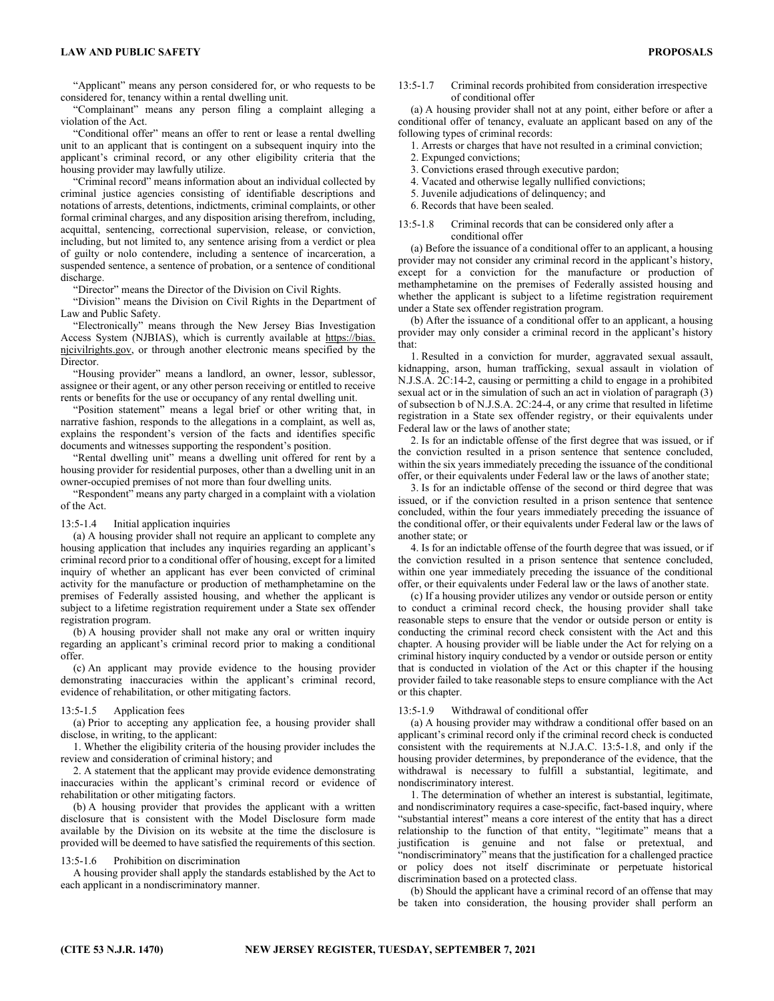"Applicant" means any person considered for, or who requests to be considered for, tenancy within a rental dwelling unit.

"Complainant" means any person filing a complaint alleging a violation of the Act.

"Conditional offer" means an offer to rent or lease a rental dwelling unit to an applicant that is contingent on a subsequent inquiry into the applicant's criminal record, or any other eligibility criteria that the housing provider may lawfully utilize.

"Criminal record" means information about an individual collected by criminal justice agencies consisting of identifiable descriptions and notations of arrests, detentions, indictments, criminal complaints, or other formal criminal charges, and any disposition arising therefrom, including, acquittal, sentencing, correctional supervision, release, or conviction, including, but not limited to, any sentence arising from a verdict or plea of guilty or nolo contendere, including a sentence of incarceration, a suspended sentence, a sentence of probation, or a sentence of conditional discharge.

"Director" means the Director of the Division on Civil Rights.

"Division" means the Division on Civil Rights in the Department of Law and Public Safety.

"Electronically" means through the New Jersey Bias Investigation Access System (NJBIAS), which is currently available at https://bias. njcivilrights.gov, or through another electronic means specified by the Director.

"Housing provider" means a landlord, an owner, lessor, sublessor, assignee or their agent, or any other person receiving or entitled to receive rents or benefits for the use or occupancy of any rental dwelling unit.

"Position statement" means a legal brief or other writing that, in narrative fashion, responds to the allegations in a complaint, as well as, explains the respondent's version of the facts and identifies specific documents and witnesses supporting the respondent's position.

"Rental dwelling unit" means a dwelling unit offered for rent by a housing provider for residential purposes, other than a dwelling unit in an owner-occupied premises of not more than four dwelling units.

"Respondent" means any party charged in a complaint with a violation of the Act.

#### 13:5-1.4 Initial application inquiries

(a) A housing provider shall not require an applicant to complete any housing application that includes any inquiries regarding an applicant's criminal record prior to a conditional offer of housing, except for a limited inquiry of whether an applicant has ever been convicted of criminal activity for the manufacture or production of methamphetamine on the premises of Federally assisted housing, and whether the applicant is subject to a lifetime registration requirement under a State sex offender registration program.

(b) A housing provider shall not make any oral or written inquiry regarding an applicant's criminal record prior to making a conditional offer.

(c) An applicant may provide evidence to the housing provider demonstrating inaccuracies within the applicant's criminal record, evidence of rehabilitation, or other mitigating factors.

# 13:5-1.5 Application fees

(a) Prior to accepting any application fee, a housing provider shall disclose, in writing, to the applicant:

1. Whether the eligibility criteria of the housing provider includes the review and consideration of criminal history; and

2. A statement that the applicant may provide evidence demonstrating inaccuracies within the applicant's criminal record or evidence of rehabilitation or other mitigating factors.

(b) A housing provider that provides the applicant with a written disclosure that is consistent with the Model Disclosure form made available by the Division on its website at the time the disclosure is provided will be deemed to have satisfied the requirements of this section.

## 13:5-1.6 Prohibition on discrimination

A housing provider shall apply the standards established by the Act to each applicant in a nondiscriminatory manner.

13:5-1.7 Criminal records prohibited from consideration irrespective of conditional offer

(a) A housing provider shall not at any point, either before or after a conditional offer of tenancy, evaluate an applicant based on any of the following types of criminal records:

1. Arrests or charges that have not resulted in a criminal conviction;

- 2. Expunged convictions;
- 3. Convictions erased through executive pardon;
- 4. Vacated and otherwise legally nullified convictions;
- 5. Juvenile adjudications of delinquency; and
- 6. Records that have been sealed.
- 13:5-1.8 Criminal records that can be considered only after a conditional offer

(a) Before the issuance of a conditional offer to an applicant, a housing provider may not consider any criminal record in the applicant's history, except for a conviction for the manufacture or production of methamphetamine on the premises of Federally assisted housing and whether the applicant is subject to a lifetime registration requirement under a State sex offender registration program.

(b) After the issuance of a conditional offer to an applicant, a housing provider may only consider a criminal record in the applicant's history that:

1. Resulted in a conviction for murder, aggravated sexual assault, kidnapping, arson, human trafficking, sexual assault in violation of N.J.S.A. 2C:14-2, causing or permitting a child to engage in a prohibited sexual act or in the simulation of such an act in violation of paragraph (3) of subsection b of N.J.S.A. 2C:24-4, or any crime that resulted in lifetime registration in a State sex offender registry, or their equivalents under Federal law or the laws of another state;

2. Is for an indictable offense of the first degree that was issued, or if the conviction resulted in a prison sentence that sentence concluded, within the six years immediately preceding the issuance of the conditional offer, or their equivalents under Federal law or the laws of another state;

3. Is for an indictable offense of the second or third degree that was issued, or if the conviction resulted in a prison sentence that sentence concluded, within the four years immediately preceding the issuance of the conditional offer, or their equivalents under Federal law or the laws of another state; or

4. Is for an indictable offense of the fourth degree that was issued, or if the conviction resulted in a prison sentence that sentence concluded, within one year immediately preceding the issuance of the conditional offer, or their equivalents under Federal law or the laws of another state.

(c) If a housing provider utilizes any vendor or outside person or entity to conduct a criminal record check, the housing provider shall take reasonable steps to ensure that the vendor or outside person or entity is conducting the criminal record check consistent with the Act and this chapter. A housing provider will be liable under the Act for relying on a criminal history inquiry conducted by a vendor or outside person or entity that is conducted in violation of the Act or this chapter if the housing provider failed to take reasonable steps to ensure compliance with the Act or this chapter.

## 13:5-1.9 Withdrawal of conditional offer

(a) A housing provider may withdraw a conditional offer based on an applicant's criminal record only if the criminal record check is conducted consistent with the requirements at N.J.A.C. 13:5-1.8, and only if the housing provider determines, by preponderance of the evidence, that the withdrawal is necessary to fulfill a substantial, legitimate, and nondiscriminatory interest.

1. The determination of whether an interest is substantial, legitimate, and nondiscriminatory requires a case-specific, fact-based inquiry, where "substantial interest" means a core interest of the entity that has a direct relationship to the function of that entity, "legitimate" means that a justification is genuine and not false or pretextual, and "nondiscriminatory" means that the justification for a challenged practice or policy does not itself discriminate or perpetuate historical discrimination based on a protected class.

(b) Should the applicant have a criminal record of an offense that may be taken into consideration, the housing provider shall perform an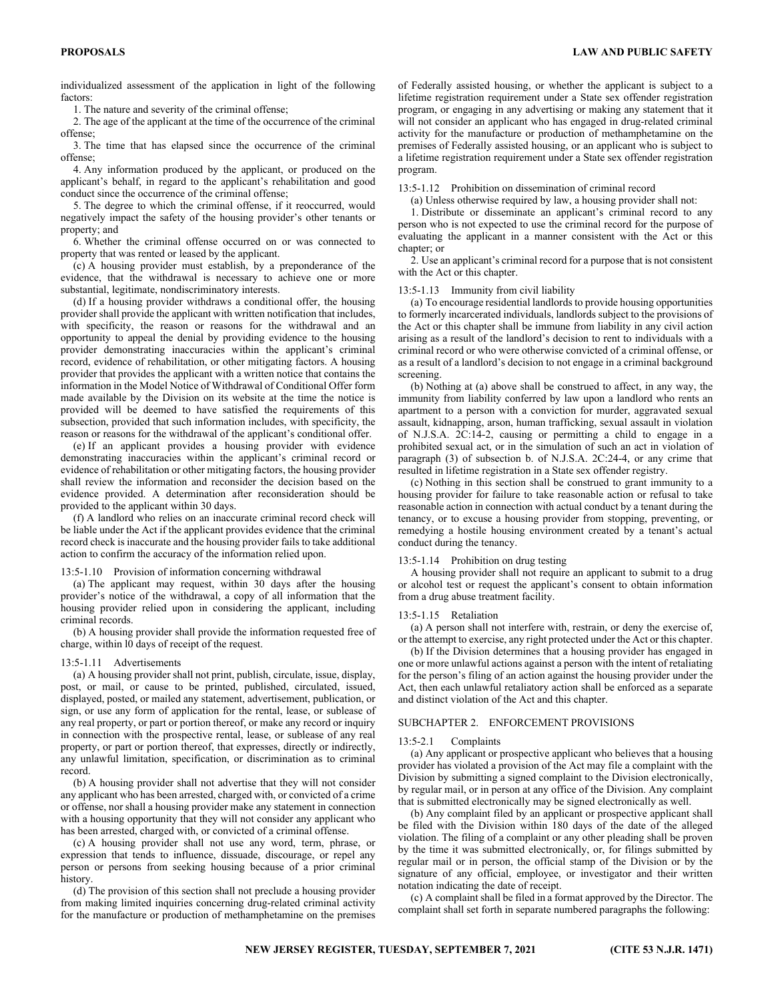individualized assessment of the application in light of the following factors:

1. The nature and severity of the criminal offense;

2. The age of the applicant at the time of the occurrence of the criminal offense;

3. The time that has elapsed since the occurrence of the criminal offense;

4. Any information produced by the applicant, or produced on the applicant's behalf, in regard to the applicant's rehabilitation and good conduct since the occurrence of the criminal offense;

5. The degree to which the criminal offense, if it reoccurred, would negatively impact the safety of the housing provider's other tenants or property; and

6. Whether the criminal offense occurred on or was connected to property that was rented or leased by the applicant.

(c) A housing provider must establish, by a preponderance of the evidence, that the withdrawal is necessary to achieve one or more substantial, legitimate, nondiscriminatory interests.

(d) If a housing provider withdraws a conditional offer, the housing provider shall provide the applicant with written notification that includes, with specificity, the reason or reasons for the withdrawal and an opportunity to appeal the denial by providing evidence to the housing provider demonstrating inaccuracies within the applicant's criminal record, evidence of rehabilitation, or other mitigating factors. A housing provider that provides the applicant with a written notice that contains the information in the Model Notice of Withdrawal of Conditional Offer form made available by the Division on its website at the time the notice is provided will be deemed to have satisfied the requirements of this subsection, provided that such information includes, with specificity, the reason or reasons for the withdrawal of the applicant's conditional offer.

(e) If an applicant provides a housing provider with evidence demonstrating inaccuracies within the applicant's criminal record or evidence of rehabilitation or other mitigating factors, the housing provider shall review the information and reconsider the decision based on the evidence provided. A determination after reconsideration should be provided to the applicant within 30 days.

(f) A landlord who relies on an inaccurate criminal record check will be liable under the Act if the applicant provides evidence that the criminal record check is inaccurate and the housing provider fails to take additional action to confirm the accuracy of the information relied upon.

#### 13:5-1.10 Provision of information concerning withdrawal

(a) The applicant may request, within 30 days after the housing provider's notice of the withdrawal, a copy of all information that the housing provider relied upon in considering the applicant, including criminal records.

(b) A housing provider shall provide the information requested free of charge, within l0 days of receipt of the request.

#### 13:5-1.11 Advertisements

(a) A housing provider shall not print, publish, circulate, issue, display, post, or mail, or cause to be printed, published, circulated, issued, displayed, posted, or mailed any statement, advertisement, publication, or sign, or use any form of application for the rental, lease, or sublease of any real property, or part or portion thereof, or make any record or inquiry in connection with the prospective rental, lease, or sublease of any real property, or part or portion thereof, that expresses, directly or indirectly, any unlawful limitation, specification, or discrimination as to criminal record.

(b) A housing provider shall not advertise that they will not consider any applicant who has been arrested, charged with, or convicted of a crime or offense, nor shall a housing provider make any statement in connection with a housing opportunity that they will not consider any applicant who has been arrested, charged with, or convicted of a criminal offense.

(c) A housing provider shall not use any word, term, phrase, or expression that tends to influence, dissuade, discourage, or repel any person or persons from seeking housing because of a prior criminal history.

(d) The provision of this section shall not preclude a housing provider from making limited inquiries concerning drug-related criminal activity for the manufacture or production of methamphetamine on the premises

of Federally assisted housing, or whether the applicant is subject to a lifetime registration requirement under a State sex offender registration program, or engaging in any advertising or making any statement that it will not consider an applicant who has engaged in drug-related criminal activity for the manufacture or production of methamphetamine on the premises of Federally assisted housing, or an applicant who is subject to a lifetime registration requirement under a State sex offender registration program.

13:5-1.12 Prohibition on dissemination of criminal record

(a) Unless otherwise required by law, a housing provider shall not:

1. Distribute or disseminate an applicant's criminal record to any person who is not expected to use the criminal record for the purpose of evaluating the applicant in a manner consistent with the Act or this chapter; or

2. Use an applicant's criminal record for a purpose that is not consistent with the Act or this chapter.

#### 13:5-1.13 Immunity from civil liability

(a) To encourage residential landlords to provide housing opportunities to formerly incarcerated individuals, landlords subject to the provisions of the Act or this chapter shall be immune from liability in any civil action arising as a result of the landlord's decision to rent to individuals with a criminal record or who were otherwise convicted of a criminal offense, or as a result of a landlord's decision to not engage in a criminal background screening.

(b) Nothing at (a) above shall be construed to affect, in any way, the immunity from liability conferred by law upon a landlord who rents an apartment to a person with a conviction for murder, aggravated sexual assault, kidnapping, arson, human trafficking, sexual assault in violation of N.J.S.A. 2C:14-2, causing or permitting a child to engage in a prohibited sexual act, or in the simulation of such an act in violation of paragraph (3) of subsection b. of N.J.S.A. 2C:24-4, or any crime that resulted in lifetime registration in a State sex offender registry.

(c) Nothing in this section shall be construed to grant immunity to a housing provider for failure to take reasonable action or refusal to take reasonable action in connection with actual conduct by a tenant during the tenancy, or to excuse a housing provider from stopping, preventing, or remedying a hostile housing environment created by a tenant's actual conduct during the tenancy.

# 13:5-1.14 Prohibition on drug testing

A housing provider shall not require an applicant to submit to a drug or alcohol test or request the applicant's consent to obtain information from a drug abuse treatment facility.

#### 13:5-1.15 Retaliation

(a) A person shall not interfere with, restrain, or deny the exercise of, or the attempt to exercise, any right protected under the Act or this chapter.

(b) If the Division determines that a housing provider has engaged in one or more unlawful actions against a person with the intent of retaliating for the person's filing of an action against the housing provider under the Act, then each unlawful retaliatory action shall be enforced as a separate and distinct violation of the Act and this chapter.

#### SUBCHAPTER 2. ENFORCEMENT PROVISIONS

#### 13:5-2.1 Complaints

(a) Any applicant or prospective applicant who believes that a housing provider has violated a provision of the Act may file a complaint with the Division by submitting a signed complaint to the Division electronically, by regular mail, or in person at any office of the Division. Any complaint that is submitted electronically may be signed electronically as well.

(b) Any complaint filed by an applicant or prospective applicant shall be filed with the Division within 180 days of the date of the alleged violation. The filing of a complaint or any other pleading shall be proven by the time it was submitted electronically, or, for filings submitted by regular mail or in person, the official stamp of the Division or by the signature of any official, employee, or investigator and their written notation indicating the date of receipt.

(c) A complaint shall be filed in a format approved by the Director. The complaint shall set forth in separate numbered paragraphs the following: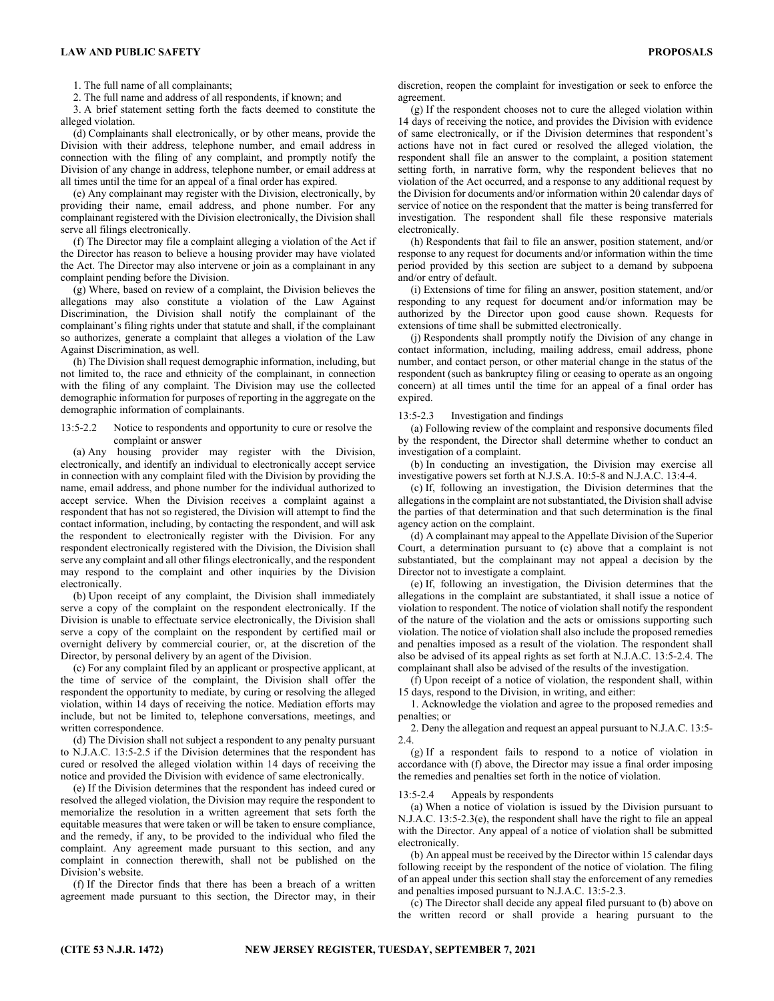1. The full name of all complainants;

2. The full name and address of all respondents, if known; and

3. A brief statement setting forth the facts deemed to constitute the alleged violation.

(d) Complainants shall electronically, or by other means, provide the Division with their address, telephone number, and email address in connection with the filing of any complaint, and promptly notify the Division of any change in address, telephone number, or email address at all times until the time for an appeal of a final order has expired.

(e) Any complainant may register with the Division, electronically, by providing their name, email address, and phone number. For any complainant registered with the Division electronically, the Division shall serve all filings electronically.

(f) The Director may file a complaint alleging a violation of the Act if the Director has reason to believe a housing provider may have violated the Act. The Director may also intervene or join as a complainant in any complaint pending before the Division.

(g) Where, based on review of a complaint, the Division believes the allegations may also constitute a violation of the Law Against Discrimination, the Division shall notify the complainant of the complainant's filing rights under that statute and shall, if the complainant so authorizes, generate a complaint that alleges a violation of the Law Against Discrimination, as well.

(h) The Division shall request demographic information, including, but not limited to, the race and ethnicity of the complainant, in connection with the filing of any complaint. The Division may use the collected demographic information for purposes of reporting in the aggregate on the demographic information of complainants.

# 13:5-2.2 Notice to respondents and opportunity to cure or resolve the complaint or answer

(a) Any housing provider may register with the Division, electronically, and identify an individual to electronically accept service in connection with any complaint filed with the Division by providing the name, email address, and phone number for the individual authorized to accept service. When the Division receives a complaint against a respondent that has not so registered, the Division will attempt to find the contact information, including, by contacting the respondent, and will ask the respondent to electronically register with the Division. For any respondent electronically registered with the Division, the Division shall serve any complaint and all other filings electronically, and the respondent may respond to the complaint and other inquiries by the Division electronically.

(b) Upon receipt of any complaint, the Division shall immediately serve a copy of the complaint on the respondent electronically. If the Division is unable to effectuate service electronically, the Division shall serve a copy of the complaint on the respondent by certified mail or overnight delivery by commercial courier, or, at the discretion of the Director, by personal delivery by an agent of the Division.

(c) For any complaint filed by an applicant or prospective applicant, at the time of service of the complaint, the Division shall offer the respondent the opportunity to mediate, by curing or resolving the alleged violation, within 14 days of receiving the notice. Mediation efforts may include, but not be limited to, telephone conversations, meetings, and written correspondence.

(d) The Division shall not subject a respondent to any penalty pursuant to N.J.A.C. 13:5-2.5 if the Division determines that the respondent has cured or resolved the alleged violation within 14 days of receiving the notice and provided the Division with evidence of same electronically.

(e) If the Division determines that the respondent has indeed cured or resolved the alleged violation, the Division may require the respondent to memorialize the resolution in a written agreement that sets forth the equitable measures that were taken or will be taken to ensure compliance, and the remedy, if any, to be provided to the individual who filed the complaint. Any agreement made pursuant to this section, and any complaint in connection therewith, shall not be published on the Division's website.

(f) If the Director finds that there has been a breach of a written agreement made pursuant to this section, the Director may, in their

discretion, reopen the complaint for investigation or seek to enforce the agreement.

(g) If the respondent chooses not to cure the alleged violation within 14 days of receiving the notice, and provides the Division with evidence of same electronically, or if the Division determines that respondent's actions have not in fact cured or resolved the alleged violation, the respondent shall file an answer to the complaint, a position statement setting forth, in narrative form, why the respondent believes that no violation of the Act occurred, and a response to any additional request by the Division for documents and/or information within 20 calendar days of service of notice on the respondent that the matter is being transferred for investigation. The respondent shall file these responsive materials electronically.

(h) Respondents that fail to file an answer, position statement, and/or response to any request for documents and/or information within the time period provided by this section are subject to a demand by subpoena and/or entry of default.

(i) Extensions of time for filing an answer, position statement, and/or responding to any request for document and/or information may be authorized by the Director upon good cause shown. Requests for extensions of time shall be submitted electronically.

(j) Respondents shall promptly notify the Division of any change in contact information, including, mailing address, email address, phone number, and contact person, or other material change in the status of the respondent (such as bankruptcy filing or ceasing to operate as an ongoing concern) at all times until the time for an appeal of a final order has expired.

## 13:5-2.3 Investigation and findings

(a) Following review of the complaint and responsive documents filed by the respondent, the Director shall determine whether to conduct an investigation of a complaint.

(b) In conducting an investigation, the Division may exercise all investigative powers set forth at N.J.S.A. 10:5-8 and N.J.A.C. 13:4-4.

(c) If, following an investigation, the Division determines that the allegations in the complaint are not substantiated, the Division shall advise the parties of that determination and that such determination is the final agency action on the complaint.

(d) A complainant may appeal to the Appellate Division of the Superior Court, a determination pursuant to (c) above that a complaint is not substantiated, but the complainant may not appeal a decision by the Director not to investigate a complaint.

(e) If, following an investigation, the Division determines that the allegations in the complaint are substantiated, it shall issue a notice of violation to respondent. The notice of violation shall notify the respondent of the nature of the violation and the acts or omissions supporting such violation. The notice of violation shall also include the proposed remedies and penalties imposed as a result of the violation. The respondent shall also be advised of its appeal rights as set forth at N.J.A.C. 13:5-2.4. The complainant shall also be advised of the results of the investigation.

(f) Upon receipt of a notice of violation, the respondent shall, within 15 days, respond to the Division, in writing, and either:

1. Acknowledge the violation and agree to the proposed remedies and penalties; or

2. Deny the allegation and request an appeal pursuant to N.J.A.C. 13:5- 2.4.

(g) If a respondent fails to respond to a notice of violation in accordance with (f) above, the Director may issue a final order imposing the remedies and penalties set forth in the notice of violation.

## 13:5-2.4 Appeals by respondents

(a) When a notice of violation is issued by the Division pursuant to N.J.A.C. 13:5-2.3(e), the respondent shall have the right to file an appeal with the Director. Any appeal of a notice of violation shall be submitted electronically.

(b) An appeal must be received by the Director within 15 calendar days following receipt by the respondent of the notice of violation. The filing of an appeal under this section shall stay the enforcement of any remedies and penalties imposed pursuant to N.J.A.C. 13:5-2.3.

(c) The Director shall decide any appeal filed pursuant to (b) above on the written record or shall provide a hearing pursuant to the